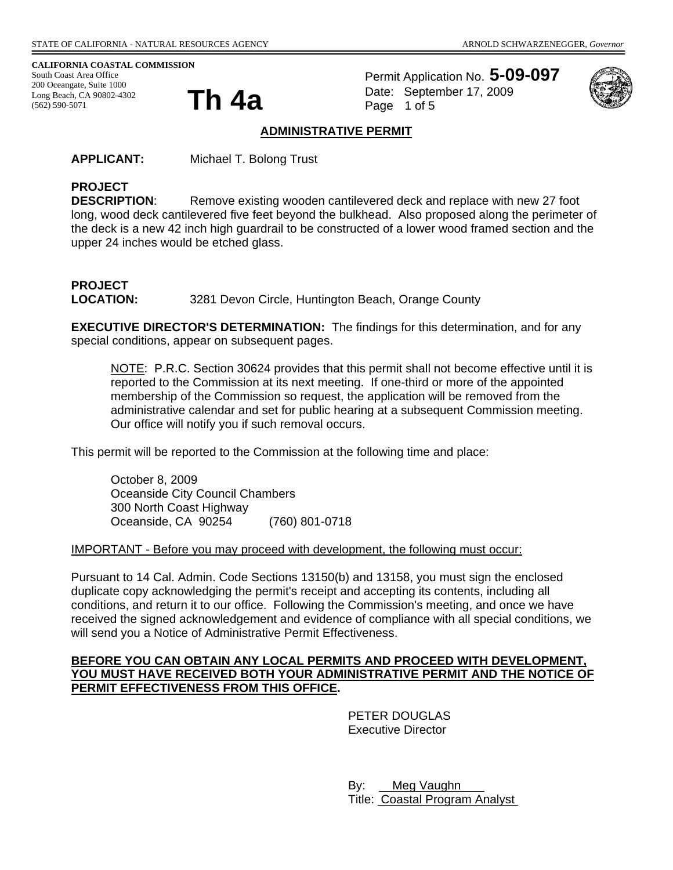**CALIFORNIA COASTAL COMMISSION** 

South Coast Area Office 200 Oceangate, Suite 1000<br>Long Beach, CA 90802-4302<br>(562) 590-5071 Long Beach, CA 90802-4302 (562) 590-5071

Permit Application No. **5-09-097** Date: September 17, 2009 Page 1 of 5



#### **ADMINISTRATIVE PERMIT**

**APPLICANT:** Michael T. Bolong Trust

# **PROJECT**

**DESCRIPTION:** Remove existing wooden cantilevered deck and replace with new 27 foot long, wood deck cantilevered five feet beyond the bulkhead. Also proposed along the perimeter of the deck is a new 42 inch high guardrail to be constructed of a lower wood framed section and the upper 24 inches would be etched glass.

# **PROJECT**  LOCATION: 3281 Devon Circle, Huntington Beach, Orange County

**EXECUTIVE DIRECTOR'S DETERMINATION:** The findings for this determination, and for any special conditions, appear on subsequent pages.

NOTE: P.R.C. Section 30624 provides that this permit shall not become effective until it is reported to the Commission at its next meeting. If one-third or more of the appointed membership of the Commission so request, the application will be removed from the administrative calendar and set for public hearing at a subsequent Commission meeting. Our office will notify you if such removal occurs.

This permit will be reported to the Commission at the following time and place:

October 8, 2009 Oceanside City Council Chambers 300 North Coast Highway Oceanside, CA 90254 (760) 801-0718

#### IMPORTANT - Before you may proceed with development, the following must occur:

Pursuant to 14 Cal. Admin. Code Sections 13150(b) and 13158, you must sign the enclosed duplicate copy acknowledging the permit's receipt and accepting its contents, including all conditions, and return it to our office. Following the Commission's meeting, and once we have received the signed acknowledgement and evidence of compliance with all special conditions, we will send you a Notice of Administrative Permit Effectiveness.

#### **BEFORE YOU CAN OBTAIN ANY LOCAL PERMITS AND PROCEED WITH DEVELOPMENT, YOU MUST HAVE RECEIVED BOTH YOUR ADMINISTRATIVE PERMIT AND THE NOTICE OF PERMIT EFFECTIVENESS FROM THIS OFFICE.**

 PETER DOUGLAS Executive Director

 By: Meg Vaughn Title: Coastal Program Analyst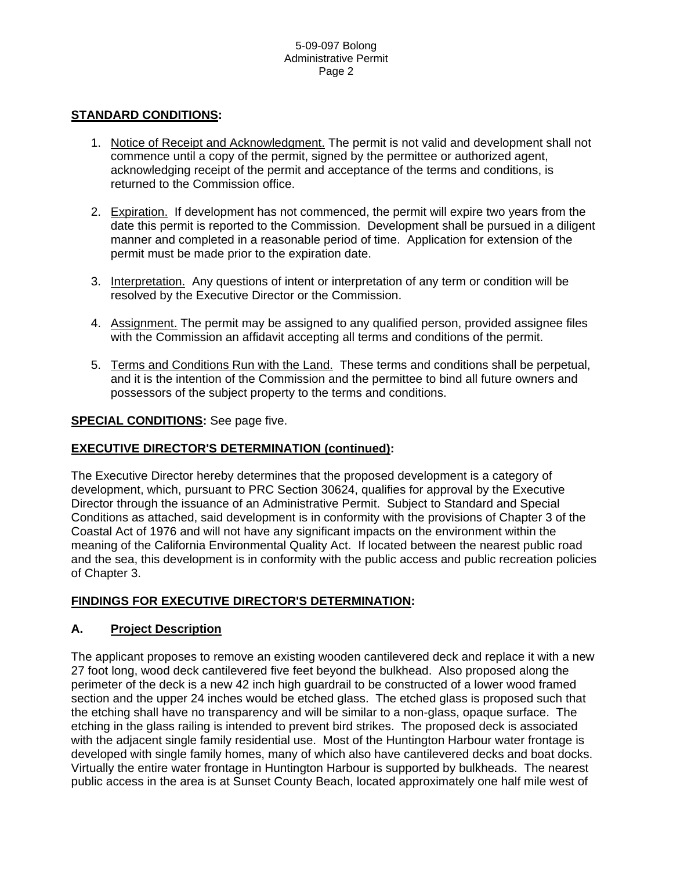## **STANDARD CONDITIONS:**

- 1. Notice of Receipt and Acknowledgment. The permit is not valid and development shall not commence until a copy of the permit, signed by the permittee or authorized agent, acknowledging receipt of the permit and acceptance of the terms and conditions, is returned to the Commission office.
- 2. Expiration. If development has not commenced, the permit will expire two years from the date this permit is reported to the Commission. Development shall be pursued in a diligent manner and completed in a reasonable period of time. Application for extension of the permit must be made prior to the expiration date.
- 3. Interpretation. Any questions of intent or interpretation of any term or condition will be resolved by the Executive Director or the Commission.
- 4. Assignment. The permit may be assigned to any qualified person, provided assignee files with the Commission an affidavit accepting all terms and conditions of the permit.
- 5. Terms and Conditions Run with the Land. These terms and conditions shall be perpetual, and it is the intention of the Commission and the permittee to bind all future owners and possessors of the subject property to the terms and conditions.

## **SPECIAL CONDITIONS:** See page five.

# **EXECUTIVE DIRECTOR'S DETERMINATION (continued):**

The Executive Director hereby determines that the proposed development is a category of development, which, pursuant to PRC Section 30624, qualifies for approval by the Executive Director through the issuance of an Administrative Permit. Subject to Standard and Special Conditions as attached, said development is in conformity with the provisions of Chapter 3 of the Coastal Act of 1976 and will not have any significant impacts on the environment within the meaning of the California Environmental Quality Act. If located between the nearest public road and the sea, this development is in conformity with the public access and public recreation policies of Chapter 3.

# **FINDINGS FOR EXECUTIVE DIRECTOR'S DETERMINATION:**

## **A. Project Description**

The applicant proposes to remove an existing wooden cantilevered deck and replace it with a new 27 foot long, wood deck cantilevered five feet beyond the bulkhead. Also proposed along the perimeter of the deck is a new 42 inch high guardrail to be constructed of a lower wood framed section and the upper 24 inches would be etched glass. The etched glass is proposed such that the etching shall have no transparency and will be similar to a non-glass, opaque surface. The etching in the glass railing is intended to prevent bird strikes. The proposed deck is associated with the adjacent single family residential use. Most of the Huntington Harbour water frontage is developed with single family homes, many of which also have cantilevered decks and boat docks. Virtually the entire water frontage in Huntington Harbour is supported by bulkheads. The nearest public access in the area is at Sunset County Beach, located approximately one half mile west of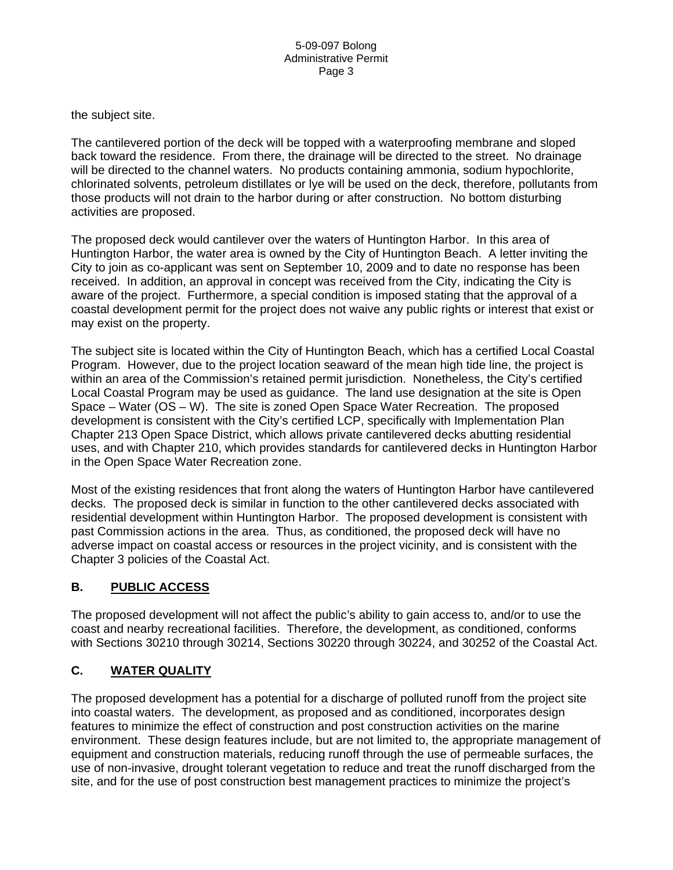the subject site.

The cantilevered portion of the deck will be topped with a waterproofing membrane and sloped back toward the residence. From there, the drainage will be directed to the street. No drainage will be directed to the channel waters. No products containing ammonia, sodium hypochlorite, chlorinated solvents, petroleum distillates or lye will be used on the deck, therefore, pollutants from those products will not drain to the harbor during or after construction. No bottom disturbing activities are proposed.

The proposed deck would cantilever over the waters of Huntington Harbor. In this area of Huntington Harbor, the water area is owned by the City of Huntington Beach. A letter inviting the City to join as co-applicant was sent on September 10, 2009 and to date no response has been received. In addition, an approval in concept was received from the City, indicating the City is aware of the project. Furthermore, a special condition is imposed stating that the approval of a coastal development permit for the project does not waive any public rights or interest that exist or may exist on the property.

The subject site is located within the City of Huntington Beach, which has a certified Local Coastal Program. However, due to the project location seaward of the mean high tide line, the project is within an area of the Commission's retained permit jurisdiction. Nonetheless, the City's certified Local Coastal Program may be used as guidance. The land use designation at the site is Open Space – Water (OS – W). The site is zoned Open Space Water Recreation. The proposed development is consistent with the City's certified LCP, specifically with Implementation Plan Chapter 213 Open Space District, which allows private cantilevered decks abutting residential uses, and with Chapter 210, which provides standards for cantilevered decks in Huntington Harbor in the Open Space Water Recreation zone.

Most of the existing residences that front along the waters of Huntington Harbor have cantilevered decks. The proposed deck is similar in function to the other cantilevered decks associated with residential development within Huntington Harbor. The proposed development is consistent with past Commission actions in the area. Thus, as conditioned, the proposed deck will have no adverse impact on coastal access or resources in the project vicinity, and is consistent with the Chapter 3 policies of the Coastal Act.

# **B. PUBLIC ACCESS**

The proposed development will not affect the public's ability to gain access to, and/or to use the coast and nearby recreational facilities. Therefore, the development, as conditioned, conforms with Sections 30210 through 30214, Sections 30220 through 30224, and 30252 of the Coastal Act.

# **C. WATER QUALITY**

The proposed development has a potential for a discharge of polluted runoff from the project site into coastal waters. The development, as proposed and as conditioned, incorporates design features to minimize the effect of construction and post construction activities on the marine environment. These design features include, but are not limited to, the appropriate management of equipment and construction materials, reducing runoff through the use of permeable surfaces, the use of non-invasive, drought tolerant vegetation to reduce and treat the runoff discharged from the site, and for the use of post construction best management practices to minimize the project's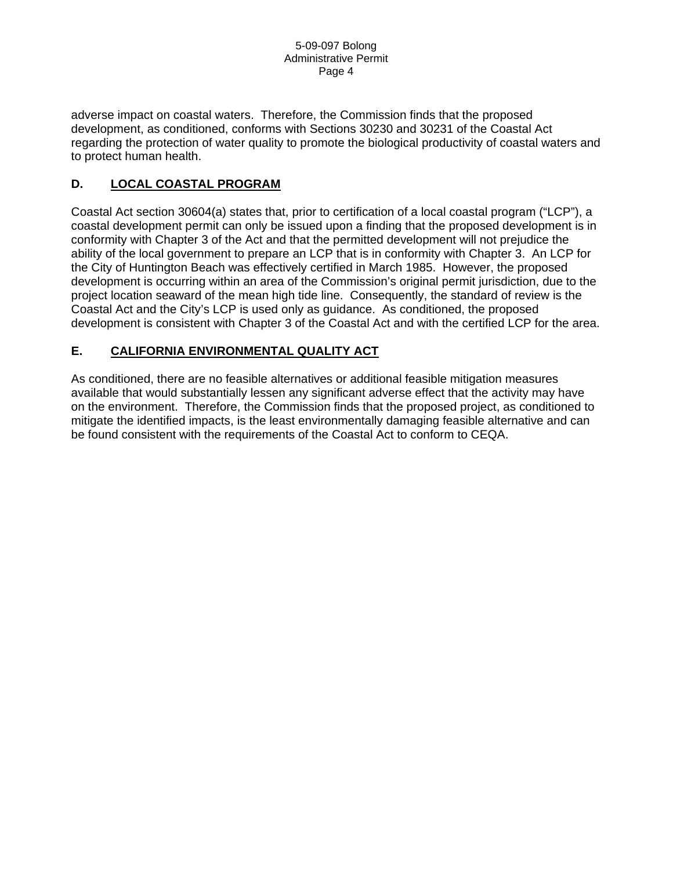adverse impact on coastal waters. Therefore, the Commission finds that the proposed development, as conditioned, conforms with Sections 30230 and 30231 of the Coastal Act regarding the protection of water quality to promote the biological productivity of coastal waters and to protect human health.

# **D. LOCAL COASTAL PROGRAM**

Coastal Act section 30604(a) states that, prior to certification of a local coastal program ("LCP"), a coastal development permit can only be issued upon a finding that the proposed development is in conformity with Chapter 3 of the Act and that the permitted development will not prejudice the ability of the local government to prepare an LCP that is in conformity with Chapter 3. An LCP for the City of Huntington Beach was effectively certified in March 1985. However, the proposed development is occurring within an area of the Commission's original permit jurisdiction, due to the project location seaward of the mean high tide line. Consequently, the standard of review is the Coastal Act and the City's LCP is used only as guidance. As conditioned, the proposed development is consistent with Chapter 3 of the Coastal Act and with the certified LCP for the area.

# **E. CALIFORNIA ENVIRONMENTAL QUALITY ACT**

As conditioned, there are no feasible alternatives or additional feasible mitigation measures available that would substantially lessen any significant adverse effect that the activity may have on the environment. Therefore, the Commission finds that the proposed project, as conditioned to mitigate the identified impacts, is the least environmentally damaging feasible alternative and can be found consistent with the requirements of the Coastal Act to conform to CEQA.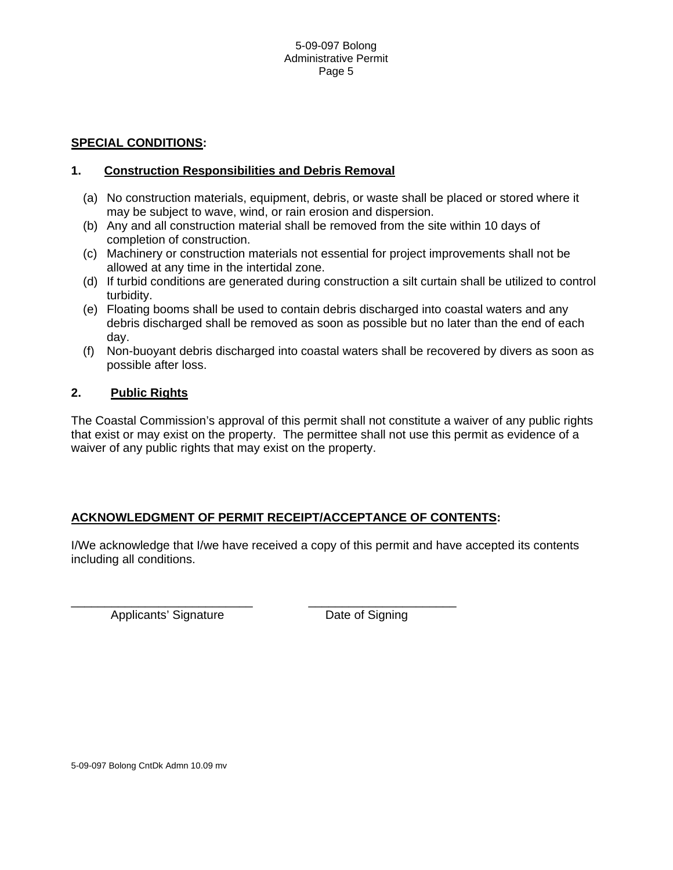## **SPECIAL CONDITIONS:**

## **1. Construction Responsibilities and Debris Removal**

- (a) No construction materials, equipment, debris, or waste shall be placed or stored where it may be subject to wave, wind, or rain erosion and dispersion.
- (b) Any and all construction material shall be removed from the site within 10 days of completion of construction.
- (c) Machinery or construction materials not essential for project improvements shall not be allowed at any time in the intertidal zone.
- (d) If turbid conditions are generated during construction a silt curtain shall be utilized to control turbidity.
- (e) Floating booms shall be used to contain debris discharged into coastal waters and any debris discharged shall be removed as soon as possible but no later than the end of each day.
- (f) Non-buoyant debris discharged into coastal waters shall be recovered by divers as soon as possible after loss.

## **2. Public Rights**

The Coastal Commission's approval of this permit shall not constitute a waiver of any public rights that exist or may exist on the property. The permittee shall not use this permit as evidence of a waiver of any public rights that may exist on the property.

## **ACKNOWLEDGMENT OF PERMIT RECEIPT/ACCEPTANCE OF CONTENTS:**

\_\_\_\_\_\_\_\_\_\_\_\_\_\_\_\_\_\_\_\_\_\_\_\_\_\_\_ \_\_\_\_\_\_\_\_\_\_\_\_\_\_\_\_\_\_\_\_\_\_

I/We acknowledge that I/we have received a copy of this permit and have accepted its contents including all conditions.

Applicants' Signature **Date of Signing** 

5-09-097 Bolong CntDk Admn 10.09 mv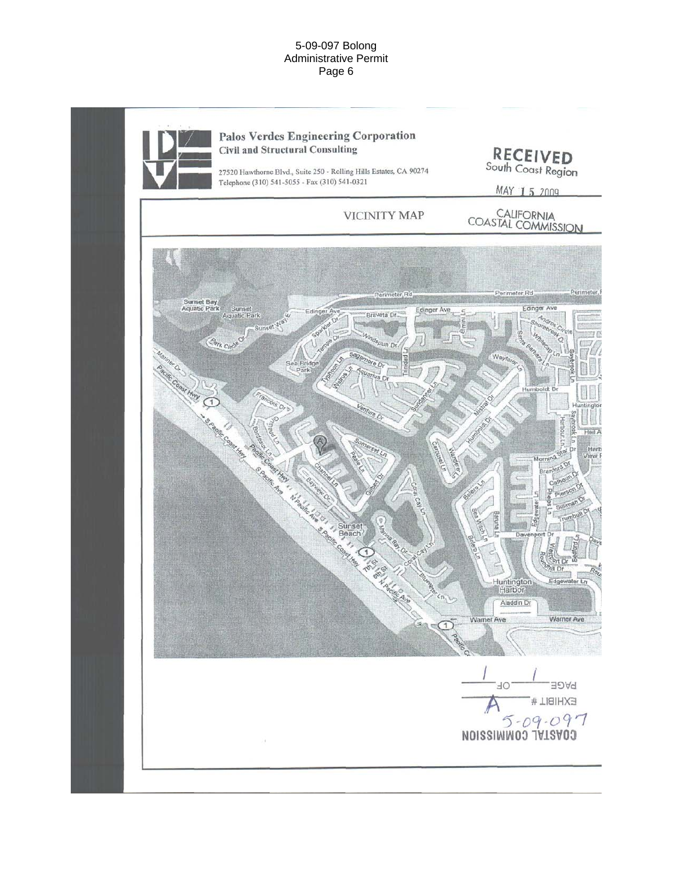#### 5-09-097 Bolong Administrative Permit Page 6

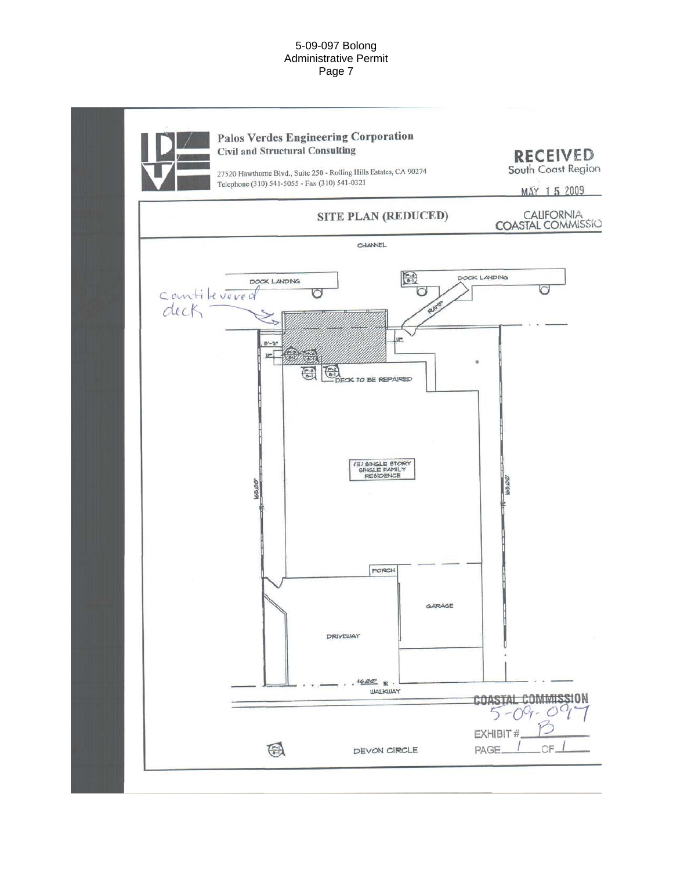#### 5-09-097 Bolong Administrative Permit Page 7